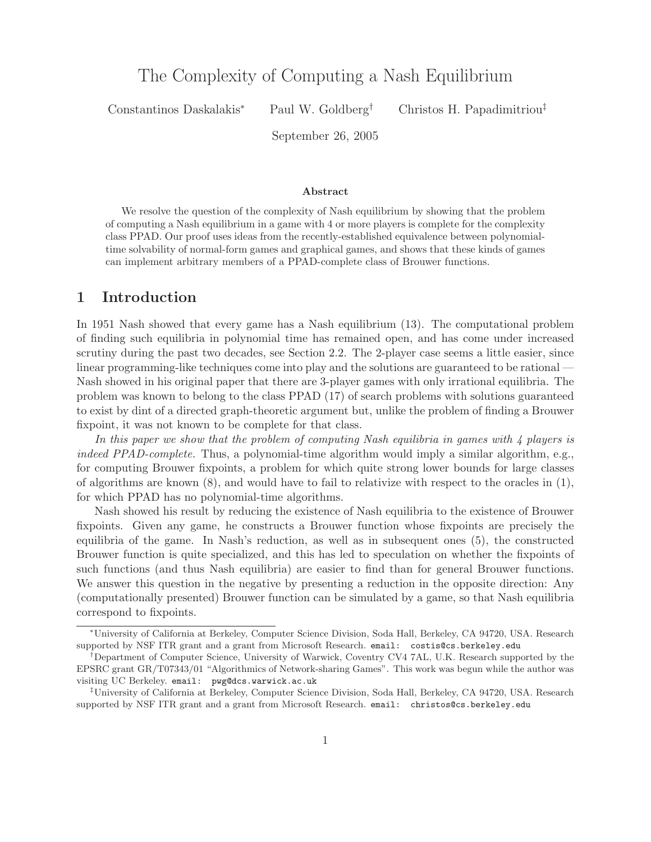# The Complexity of Computing a Nash  $\equiv$  parametering

Constantinos Daskalakis<sup>∗</sup> Paul W. Goldberg† Christos H. Papadimitriou‡

September 26, 2005

#### **Abstract**

We resolve the question of the complexity of Nash equilibrium by showing that the problem of computing a Nash equilibrium in a game with 4 or more players is complete for the complexity class PPAD. Our proof uses ideas from the recently-established equivalence between polynomialtime solvability of normal-form games and graphical games, and shows that these kinds of games can implement arbitrary members of a PPAD-complete class of Brouwer functions.

## **1 Introduction**

In 1951 Nash showed that every game has a Nash equilibrium (13). The computational problem of finding such equilibria in polynomial time has remained open, and has come under increased scrutiny during the past two decades, see Section 2.2. The 2-player case seems a little easier, since linear programming-like techniques come into play and the solutions are guaranteed to be rational — Nash showed in his original paper that there are 3-player games with only irrational equilibria. The problem was known to belong to the class PPAD (17) of search problems with solutions guaranteed to exist by dint of a directed graph-theoretic argument but, unlike the problem of finding a Brouwer fixpoint, it was not known to be complete for that class.

*In this paper we show that the problem of computing Nash equilibria in games with 4 players is indeed PPAD-complete.* Thus, a polynomial-time algorithm would imply a similar algorithm, e.g., for computing Brouwer fixpoints, a problem for which quite strong lower bounds for large classes of algorithms are known (8), and would have to fail to relativize with respect to the oracles in (1), for which PPAD has no polynomial-time algorithms.

Nash showed his result by reducing the existence of Nash equilibria to the existence of Brouwer fixpoints. Given any game, he constructs a Brouwer function whose fixpoints are precisely the equilibria of the game. In Nash's reduction, as well as in subsequent ones (5), the constructed Brouwer function is quite specialized, and this has led to speculation on whether the fixpoints of such functions (and thus Nash equilibria) are easier to find than for general Brouwer functions. We answer this question in the negative by presenting a reduction in the opposite direction: Any (computationally presented) Brouwer function can be simulated by a game, so that Nash equilibria correspond to fixpoints.

<sup>∗</sup>University of California at Berkeley, Computer Science Division, Soda Hall, Berkeley, CA 94720, USA. Research supported by NSF ITR grant and a grant from Microsoft Research. email: costis@cs.berkeley.edu

<sup>†</sup>Department of Computer Science, University of Warwick, Coventry CV4 7AL, U.K. Research supported by the EPSRC grant GR/T07343/01 "Algorithmics of Network-sharing Games". This work was begun while the author was visiting UC Berkeley. email: pwg@dcs.warwick.ac.uk

<sup>‡</sup>University of California at Berkeley, Computer Science Division, Soda Hall, Berkeley, CA 94720, USA. Research supported by NSF ITR grant and a grant from Microsoft Research. email: christos@cs.berkeley.edu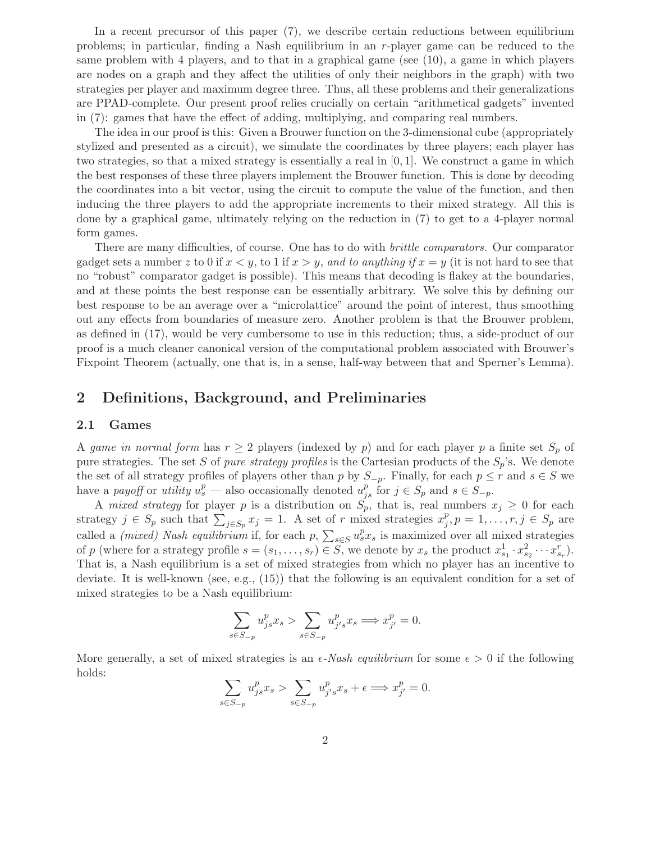In a recent precursor of this paper (7), we describe certain reductions between equilibrium problems; in particular, finding a Nash equilibrium in an r-player game can be reduced to the same problem with 4 players, and to that in a graphical game (see (10), a game in which players are nodes on a graph and they affect the utilities of only their neighbors in the graph) with two strategies per player and maximum degree three. Thus, all these problems and their generalizations are PPAD-complete. Our present proof relies crucially on certain "arithmetical gadgets" invented in (7): games that have the effect of adding, multiplying, and comparing real numbers.

The idea in our proof is this: Given a Brouwer function on the 3-dimensional cube (appropriately stylized and presented as a circuit), we simulate the coordinates by three players; each player has two strategies, so that a mixed strategy is essentially a real in  $[0, 1]$ . We construct a game in which the best responses of these three players implement the Brouwer function. This is done by decoding the coordinates into a bit vector, using the circuit to compute the value of the function, and then inducing the three players to add the appropriate increments to their mixed strategy. All this is done by a graphical game, ultimately relying on the reduction in (7) to get to a 4-player normal form games.

There are many difficulties, of course. One has to do with *brittle comparators.* Our comparator gadget sets a number z to 0 if  $x < y$ , to 1 if  $x > y$ , and to anything if  $x = y$  (it is not hard to see that no "robust" comparator gadget is possible). This means that decoding is flakey at the boundaries, and at these points the best response can be essentially arbitrary. We solve this by defining our best response to be an average over a "microlattice" around the point of interest, thus smoothing out any effects from boundaries of measure zero. Another problem is that the Brouwer problem, as defined in (17), would be very cumbersome to use in this reduction; thus, a side-product of our proof is a much cleaner canonical version of the computational problem associated with Brouwer's Fixpoint Theorem (actually, one that is, in a sense, half-way between that and Sperner's Lemma).

#### **2 Definitions, Background, and Preliminaries**

#### **2.1 Games**

A game in normal form has  $r \geq 2$  players (indexed by p) and for each player p a finite set  $S_p$  of pure strategies. The set S of *pure strategy profiles* is the Cartesian products of the  $S_p$ 's. We denote the set of all strategy profiles of players other than p by  $S_{-p}$ . Finally, for each  $p \leq r$  and  $s \in S$  we have a *payoff* or *utility*  $u_s^p$  — also occasionally denoted  $u_{js}^p$  for  $j \in S_p$  and  $s \in S_{-p}$ .

A *mixed strategy* for player p is a distribution on  $S_p^{\prime\prime}$ , that is, real numbers  $x_j \geq 0$  for each strategy  $j \in S_p$  such that  $\sum_{j \in S_p} x_j = 1$ . A set of r mixed strategies  $x_j^p, p = 1, \ldots, r, j \in S_p$  are called a *(mixed) Nash equilibrium* if, for each  $p$ ,  $\sum_{s \in S} u_s^p x_s$  is maximized over all mixed strategies of p (where for a strategy profile  $s = (s_1, \ldots, s_r) \in S$ , we denote by  $x_s$  the product  $x_{s_1}^1 \cdot x_{s_2}^2 \cdots x_{s_r}^r$ ). That is, a Nash equilibrium is a set of mixed strategies from which no player has an incentive to deviate. It is well-known (see, e.g., (15)) that the following is an equivalent condition for a set of mixed strategies to be a Nash equilibrium:

$$
\sum_{s \in S_{-p}} u_{js}^p x_s > \sum_{s \in S_{-p}} u_{j's}^p x_s \Longrightarrow x_{j'}^p = 0.
$$

More generally, a set of mixed strategies is an  $\epsilon$ -*Nash equilibrium* for some  $\epsilon > 0$  if the following holds:

$$
\sum_{s \in S_{-p}} u_{js}^p x_s > \sum_{s \in S_{-p}} u_{j's}^p x_s + \epsilon \Longrightarrow x_{j'}^p = 0.
$$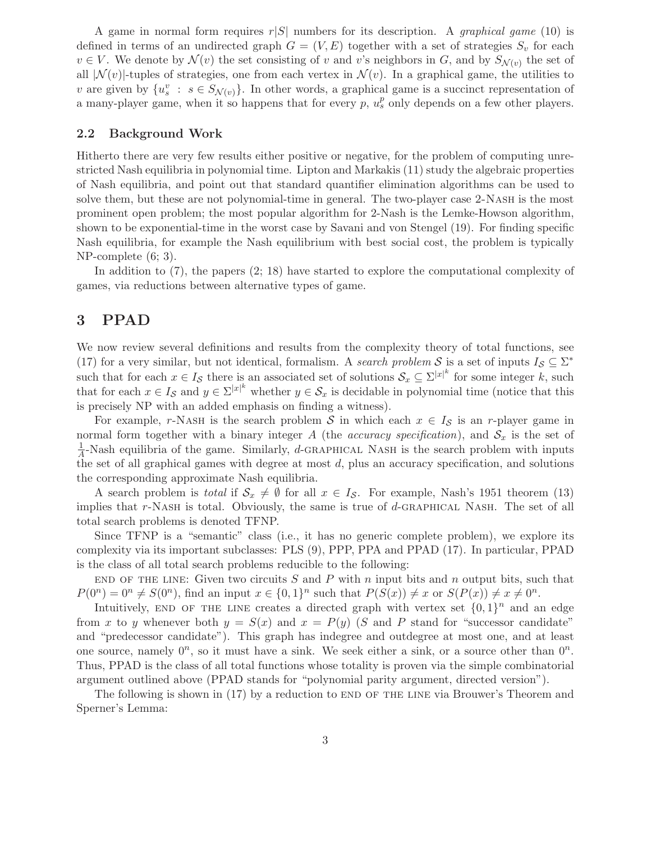A game in normal form requires  $r|S|$  numbers for its description. A *graphical game* (10) is defined in terms of an undirected graph  $G = (V, E)$  together with a set of strategies  $S_v$  for each  $v \in V$ . We denote by  $\mathcal{N}(v)$  the set consisting of v and v's neighbors in G, and by  $S_{\mathcal{N}(v)}$  the set of all  $|\mathcal{N}(v)|$ -tuples of strategies, one from each vertex in  $\mathcal{N}(v)$ . In a graphical game, the utilities to v are given by  $\{u_s^v : s \in S_{\mathcal{N}(v)}\}$ . In other words, a graphical game is a succinct representation of a many-player game, when it so happens that for every  $p$ ,  $u_s^p$  only depends on a few other players.

#### **2.2 Background Work**

Hitherto there are very few results either positive or negative, for the problem of computing unrestricted Nash equilibria in polynomial time. Lipton and Markakis (11) study the algebraic properties of Nash equilibria, and point out that standard quantifier elimination algorithms can be used to solve them, but these are not polynomial-time in general. The two-player case 2-NASH is the most prominent open problem; the most popular algorithm for 2-Nash is the Lemke-Howson algorithm, shown to be exponential-time in the worst case by Savani and von Stengel (19). For finding specific Nash equilibria, for example the Nash equilibrium with best social cost, the problem is typically NP-complete (6; 3).

In addition to (7), the papers (2; 18) have started to explore the computational complexity of games, via reductions between alternative types of game.

## **3 PPAD**

We now review several definitions and results from the complexity theory of total functions, see (17) for a very similar, but not identical, formalism. A *search problem* S is a set of inputs  $I_S \subseteq \Sigma^*$ such that for each  $x \in I_{\mathcal{S}}$  there is an associated set of solutions  $\mathcal{S}_x \subseteq \Sigma^{|x|^k}$  for some integer k, such that for each  $x \in I_{\mathcal{S}}$  and  $y \in \Sigma^{|x|^k}$  whether  $y \in \mathcal{S}_x$  is decidable in polynomial time (notice that this is precisely NP with an added emphasis on finding a witness).

For example, r-Nash is the search problem S in which each  $x \in I_{\mathcal{S}}$  is an r-player game in normal form together with a binary integer A (the *accuracy specification*), and  $S_x$  is the set of  $\frac{1}{4}$ -Nash equilibria of the game. Similarly, d-GRAPHICAL NASH is the search problem with inputs the set of all graphical games with degree at most  $d$ , plus an accuracy specification, and solutions the corresponding approximate Nash equilibria.

A search problem is *total* if  $S_x \neq \emptyset$  for all  $x \in I_{\mathcal{S}}$ . For example, Nash's 1951 theorem (13) implies that  $r$ -NASH is total. Obviously, the same is true of d-GRAPHICAL NASH. The set of all total search problems is denoted TFNP.

Since TFNP is a "semantic" class (i.e., it has no generic complete problem), we explore its complexity via its important subclasses: PLS (9), PPP, PPA and PPAD (17). In particular, PPAD is the class of all total search problems reducible to the following:

END OF THE LINE: Given two circuits  $S$  and  $P$  with n input bits and n output bits, such that  $P(0^n)=0^n \neq S(0^n)$ , find an input  $x \in \{0,1\}^n$  such that  $P(S(x)) \neq x$  or  $S(P(x)) \neq x \neq 0^n$ .

Intuitively, END OF THE LINE creates a directed graph with vertex set  $\{0, 1\}^n$  and an edge from x to y whenever both  $y = S(x)$  and  $x = P(y)$  (S and P stand for "successor candidate") and "predecessor candidate"). This graph has indegree and outdegree at most one, and at least one source, namely  $0^n$ , so it must have a sink. We seek either a sink, or a source other than  $0^n$ . Thus, PPAD is the class of all total functions whose totality is proven via the simple combinatorial argument outlined above (PPAD stands for "polynomial parity argument, directed version").

The following is shown in (17) by a reduction to END OF THE LINE via Brouwer's Theorem and Sperner's Lemma: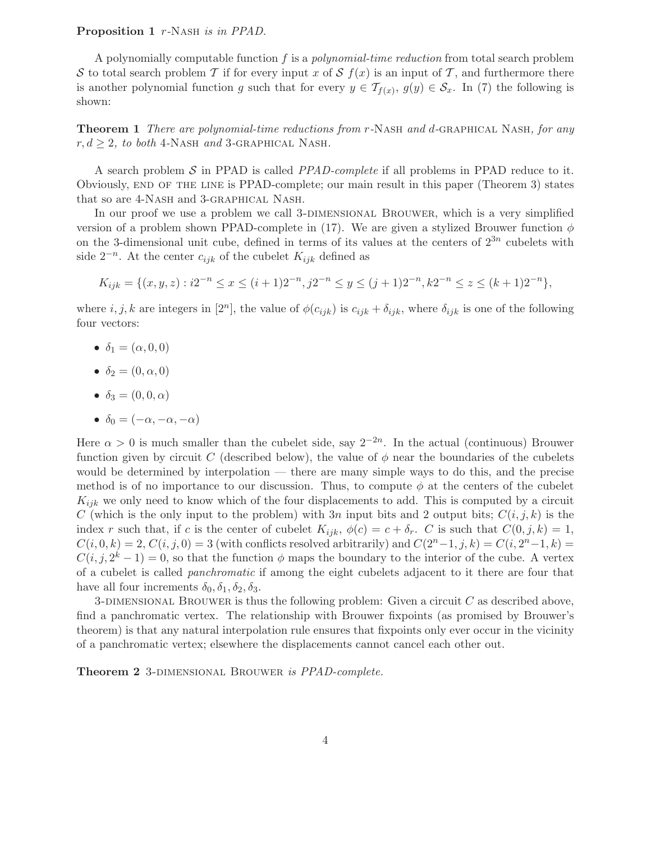#### **Proposition 1** r*-*Nash *is in PPAD.*

A polynomially computable function f is a *polynomial-time reduction* from total search problem S to total search problem T if for every input x of S  $f(x)$  is an input of T, and furthermore there is another polynomial function g such that for every  $y \in \mathcal{T}_{f(x)}, g(y) \in \mathcal{S}_x$ . In (7) the following is shown:

**Theorem 1** *There are polynomial-time reductions from* r*-*Nash *and* d*-*graphical Nash*, for any*  $r, d \geq 2$ , to both 4-NASH and 3-GRAPHICAL NASH.

A search problem S in PPAD is called *PPAD-complete* if all problems in PPAD reduce to it. Obviously, end of the line is PPAD-complete; our main result in this paper (Theorem 3) states that so are 4-Nash and 3-graphical Nash.

In our proof we use a problem we call 3-DIMENSIONAL BROUWER, which is a very simplified version of a problem shown PPAD-complete in (17). We are given a stylized Brouwer function  $\phi$ on the 3-dimensional unit cube, defined in terms of its values at the centers of  $2^{3n}$  cubelets with side  $2^{-n}$ . At the center  $c_{ijk}$  of the cubelet  $K_{ijk}$  defined as

$$
K_{ijk} = \{(x, y, z) : i2^{-n} \le x \le (i+1)2^{-n}, j2^{-n} \le y \le (j+1)2^{-n}, k2^{-n} \le z \le (k+1)2^{-n}\},\
$$

where  $i, j, k$  are integers in  $[2^n]$ , the value of  $\phi(c_{ijk})$  is  $c_{ijk} + \delta_{ijk}$ , where  $\delta_{ijk}$  is one of the following four vectors:

- $\delta_1 = (\alpha, 0, 0)$
- $\delta_2 = (0, \alpha, 0)$
- $\delta_3 = (0, 0, \alpha)$
- $\delta_0 = (-\alpha, -\alpha, -\alpha)$

Here  $\alpha > 0$  is much smaller than the cubelet side, say  $2^{-2n}$ . In the actual (continuous) Brouwer function given by circuit C (described below), the value of  $\phi$  near the boundaries of the cubelets would be determined by interpolation — there are many simple ways to do this, and the precise method is of no importance to our discussion. Thus, to compute  $\phi$  at the centers of the cubelet  $K_{ijk}$  we only need to know which of the four displacements to add. This is computed by a circuit C (which is the only input to the problem) with 3n input bits and 2 output bits;  $C(i, j, k)$  is the index r such that, if c is the center of cubelet  $K_{ijk}$ ,  $\phi(c) = c + \delta_r$ . C is such that  $C(0, j, k) = 1$ ,  $C(i, 0, k) = 2, C(i, j, 0) = 3$  (with conflicts resolved arbitrarily) and  $C(2<sup>n</sup>−1, j, k) = C(i, 2<sup>n</sup>−1, k)$  $C(i, j, 2<sup>k</sup> - 1) = 0$ , so that the function  $\phi$  maps the boundary to the interior of the cube. A vertex of a cubelet is called *panchromatic* if among the eight cubelets adjacent to it there are four that have all four increments  $\delta_0$ ,  $\delta_1$ ,  $\delta_2$ ,  $\delta_3$ .

3-DIMENSIONAL BROUWER is thus the following problem: Given a circuit  $C$  as described above, find a panchromatic vertex. The relationship with Brouwer fixpoints (as promised by Brouwer's theorem) is that any natural interpolation rule ensures that fixpoints only ever occur in the vicinity of a panchromatic vertex; elsewhere the displacements cannot cancel each other out.

**Theorem 2** 3-dimensional Brouwer *is PPAD-complete.*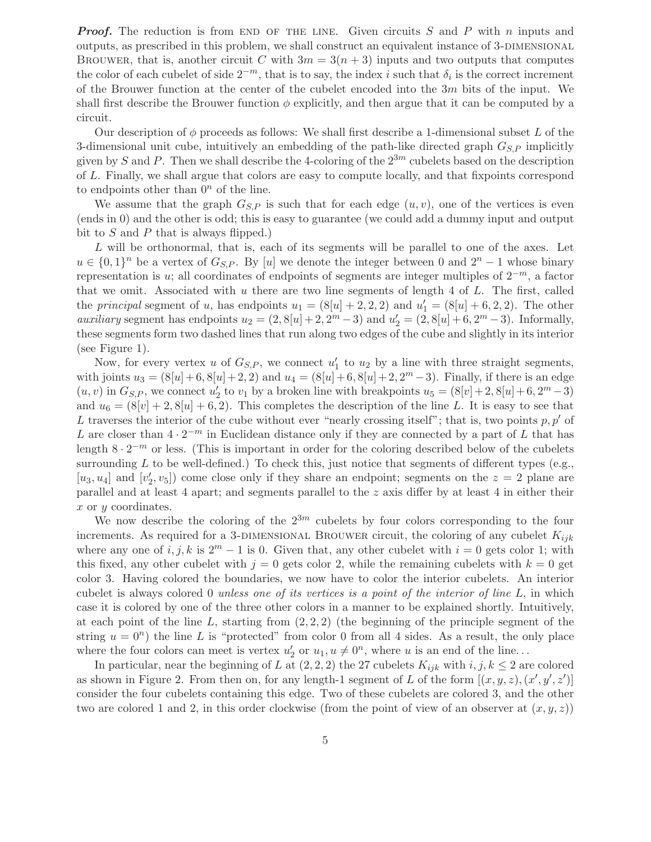*Proof.* The reduction is from END OF THE LINE. Given circuits S and P with n inputs and outputs, as prescribed in this problem, we shall construct an equivalent instance of 3-DIMENSIONAL BROUWER, that is, another circuit C with  $3m = 3(n + 3)$  inputs and two outputs that computes the color of each cubelet of side  $2^{-m}$ , that is to say, the index i such that  $\delta_i$  is the correct increment of the Brouwer function at the center of the cubelet encoded into the 3m bits of the input. We shall first describe the Brouwer function  $\phi$  explicitly, and then argue that it can be computed by a circuit.

Our description of  $\phi$  proceeds as follows: We shall first describe a 1-dimensional subset L of the 3-dimensional unit cube, intuitively an embedding of the path-like directed graph  $G_{S,P}$  implicitly given by S and P. Then we shall describe the 4-coloring of the  $2^{3m}$  cubelets based on the description of L. Finally, we shall argue that colors are easy to compute locally, and that fixpoints correspond to endpoints other than  $0<sup>n</sup>$  of the line.

We assume that the graph  $G_{S,P}$  is such that for each edge  $(u, v)$ , one of the vertices is even (ends in 0) and the other is odd; this is easy to guarantee (we could add a dummy input and output bit to  $S$  and  $P$  that is always flipped.)

 $L$  will be orthonormal, that is, each of its segments will be parallel to one of the axes. Let  $u \in \{0,1\}^n$  be a vertex of  $G_{S,P}$ . By [u] we denote the integer between 0 and  $2^n - 1$  whose binary representation is u; all coordinates of endpoints of segments are integer multiples of  $2^{-m}$ , a factor that we omit. Associated with  $u$  there are two line segments of length  $4$  of  $L$ . The first, called the *principal* segment of *u*, has endpoints  $u_1 = (8[u] + 2, 2, 2)$  and  $u'_1 = (8[u] + 6, 2, 2)$ . The other *auxiliary* segment has endpoints  $u_2 = (2, 8[u] + 2, 2^m - 3)$  and  $u'_2 = (2, 8[u] + 6, 2^m - 3)$ . Informally, these segments form two dashed lines that run along two edges of the cube and slightly in its interior (see Figure 1).

Now, for every vertex u of  $G_{S,P}$ , we connect  $u'_1$  to  $u_2$  by a line with three straight segments, with joints  $u_3 = (8[u]+6, 8[u]+2, 2)$  and  $u_4 = (8[u]+6, 8[u]+2, 2^m-3)$ . Finally, if there is an edge  $(u, v)$  in  $G_{S,P}$ , we connect  $u_2'$  to  $v_1$  by a broken line with breakpoints  $u_5 = (8[v]+2, 8[u]+6, 2<sup>m</sup> - 3)$ and  $u_6 = (8[v]+2, 8[u]+6, 2)$ . This completes the description of the line L. It is easy to see that L traverses the interior of the cube without ever "nearly crossing itself"; that is, two points  $p, p'$  of L are closer than  $4 \cdot 2^{-m}$  in Euclidean distance only if they are connected by a part of L that has length  $8 \cdot 2^{-m}$  or less. (This is important in order for the coloring described below of the cubelets surrounding  $L$  to be well-defined.) To check this, just notice that segments of different types (e.g., [ $u_3, u_4$ ] and [ $v'_2, v_5$ ]) come close only if they share an endpoint; segments on the  $z = 2$  plane are parallel and at least 4 apart; and segments parallel to the z axis differ by at least 4 in either their x or y coordinates.

We now describe the coloring of the  $2^{3m}$  cubelets by four colors corresponding to the four increments. As required for a 3-DIMENSIONAL BROUWER circuit, the coloring of any cubelet  $K_{ijk}$ where any one of i, j, k is  $2^m - 1$  is 0. Given that, any other cubelet with  $i = 0$  gets color 1; with this fixed, any other cubelet with  $j = 0$  gets color 2, while the remaining cubelets with  $k = 0$  get color 3. Having colored the boundaries, we now have to color the interior cubelets. An interior cubelet is always colored 0 *unless one of its vertices is a point of the interior of line* L, in which case it is colored by one of the three other colors in a manner to be explained shortly. Intuitively, at each point of the line  $L$ , starting from  $(2, 2, 2)$  (the beginning of the principle segment of the string  $u = 0^n$ ) the line L is "protected" from color 0 from all 4 sides. As a result, the only place where the four colors can meet is vertex  $u'_2$  or  $u_1, u \neq 0^n$ , where u is an end of the line...

In particular, near the beginning of L at  $(2, 2, 2)$  the 27 cubelets  $K_{ijk}$  with  $i, j, k \leq 2$  are colored as shown in Figure 2. From then on, for any length-1 segment of L of the form  $[(x, y, z), (x', y', z')]$ consider the four cubelets containing this edge. Two of these cubelets are colored 3, and the other two are colored 1 and 2, in this order clockwise (from the point of view of an observer at  $(x, y, z)$ )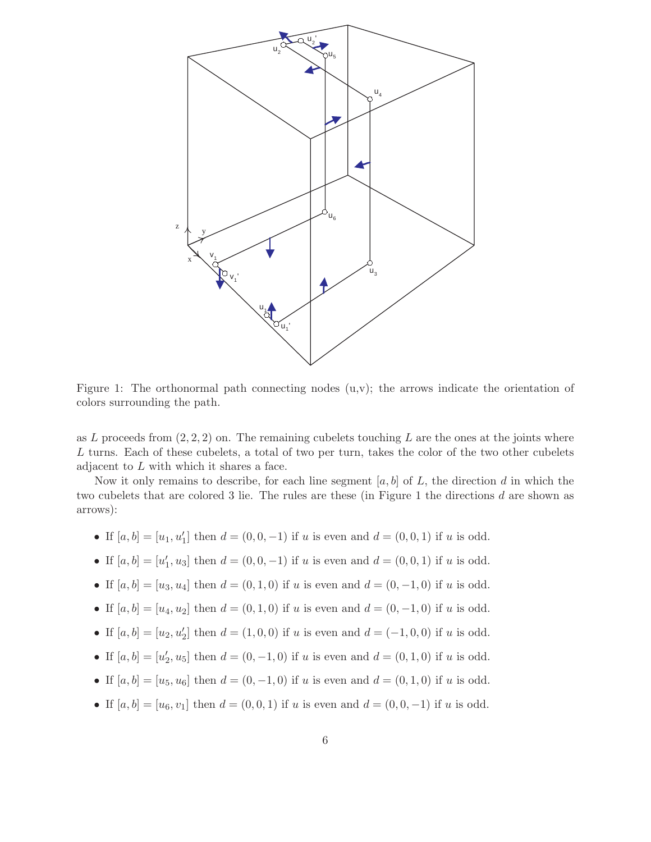

Figure 1: The orthonormal path connecting nodes  $(u, v)$ ; the arrows indicate the orientation of colors surrounding the path.

as L proceeds from  $(2, 2, 2)$  on. The remaining cubelets touching L are the ones at the joints where L turns. Each of these cubelets, a total of two per turn, takes the color of the two other cubelets adjacent to  $L$  with which it shares a face.

Now it only remains to describe, for each line segment  $[a, b]$  of L, the direction d in which the two cubelets that are colored 3 lie. The rules are these (in Figure 1 the directions d are shown as arrows):

- If  $[a, b] = [u_1, u'_1]$  then  $d = (0, 0, -1)$  if u is even and  $d = (0, 0, 1)$  if u is odd.
- If  $[a, b] = [u'_1, u_3]$  then  $d = (0, 0, -1)$  if u is even and  $d = (0, 0, 1)$  if u is odd.
- If  $[a, b] = [u_3, u_4]$  then  $d = (0, 1, 0)$  if u is even and  $d = (0, -1, 0)$  if u is odd.
- If  $[a, b] = [u_4, u_2]$  then  $d = (0, 1, 0)$  if u is even and  $d = (0, -1, 0)$  if u is odd.
- If  $[a, b] = [u_2, u'_2]$  then  $d = (1, 0, 0)$  if u is even and  $d = (-1, 0, 0)$  if u is odd.
- If  $[a, b] = [u'_2, u_5]$  then  $d = (0, -1, 0)$  if u is even and  $d = (0, 1, 0)$  if u is odd.
- If  $[a, b]=[u_5, u_6]$  then  $d = (0, -1, 0)$  if u is even and  $d = (0, 1, 0)$  if u is odd.
- If  $[a, b] = [u_6, v_1]$  then  $d = (0, 0, 1)$  if u is even and  $d = (0, 0, -1)$  if u is odd.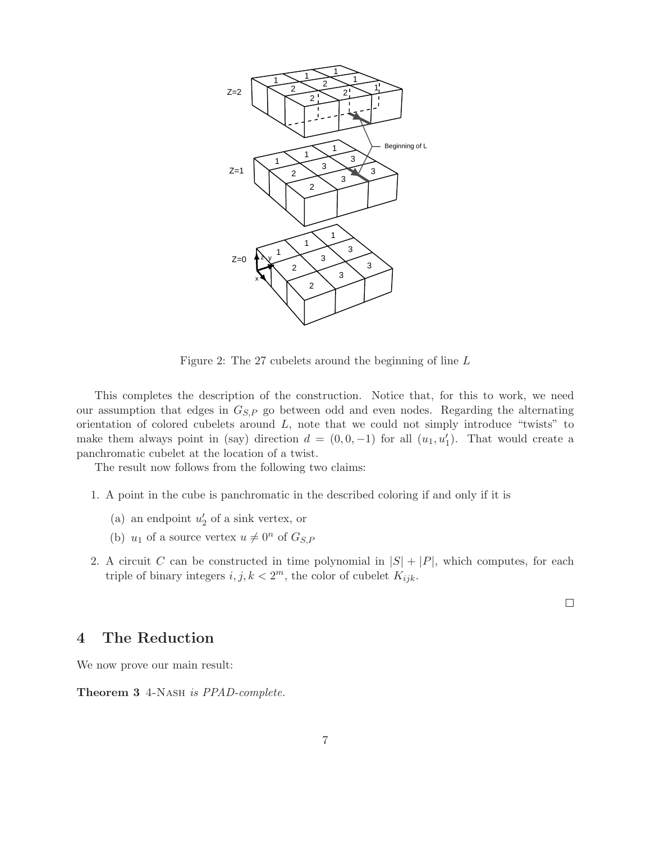

Figure 2: The 27 cubelets around the beginning of line L

This completes the description of the construction. Notice that, for this to work, we need our assumption that edges in  $G_{S,P}$  go between odd and even nodes. Regarding the alternating orientation of colored cubelets around  $L$ , note that we could not simply introduce "twists" to make them always point in (say) direction  $d = (0, 0, -1)$  for all  $(u_1, u'_1)$ . That would create a panchromatic cubelet at the location of a twist.

The result now follows from the following two claims:

- 1. A point in the cube is panchromatic in the described coloring if and only if it is
	- (a) an endpoint  $u_2'$  of a sink vertex, or
	- (b)  $u_1$  of a source vertex  $u \neq 0^n$  of  $G_{S,P}$
- 2. A circuit C can be constructed in time polynomial in  $|S| + |P|$ , which computes, for each triple of binary integers  $i, j, k < 2<sup>m</sup>$ , the color of cubelet  $K_{ijk}$ .

 $\Box$ 

## **4 The Reduction**

We now prove our main result:

**Theorem 3** 4-Nash *is PPAD-complete.*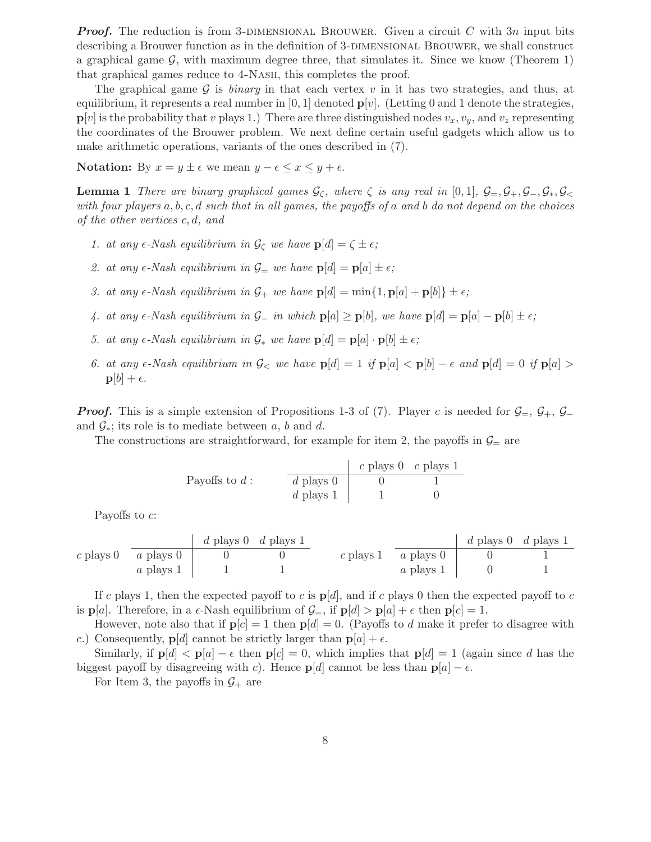*Proof.* The reduction is from 3-DIMENSIONAL BROUWER. Given a circuit C with 3n input bits describing a Brouwer function as in the definition of 3-DIMENSIONAL BROUWER, we shall construct a graphical game  $\mathcal{G}$ , with maximum degree three, that simulates it. Since we know (Theorem 1) that graphical games reduce to 4-Nash, this completes the proof.

The graphical game  $G$  is *binary* in that each vertex  $v$  in it has two strategies, and thus, at equilibrium, it represents a real number in  $[0, 1]$  denoted  $\mathbf{p}[v]$ . (Letting 0 and 1 denote the strategies,  $\mathbf{p}[v]$  is the probability that v plays 1.) There are three distinguished nodes  $v_x, v_y$ , and  $v_z$  representing the coordinates of the Brouwer problem. We next define certain useful gadgets which allow us to make arithmetic operations, variants of the ones described in (7).

**Notation:** By  $x = y \pm \epsilon$  we mean  $y - \epsilon \leq x \leq y + \epsilon$ .

**Lemma 1** *There are binary graphical games*  $G_\zeta$ *, where*  $\zeta$  *is any real in* [0,1]*,*  $G = G_+, G_-, G_*, G_<$ *with four players* a, b, c, d *such that in all games, the payoffs of* a *and* b *do not depend on the choices of the other vertices* c, d*, and*

- *1. at any*  $\epsilon$ -Nash equilibrium in  $\mathcal{G}_{\zeta}$  we have  $\mathbf{p}[d] = \zeta \pm \epsilon$ ;
- 2. at any  $\epsilon$ -Nash equilibrium in  $\mathcal{G}_{\equiv}$  we have  $\mathbf{p}[d] = \mathbf{p}[a] \pm \epsilon$ ;
- 3. at any  $\epsilon$ -Nash equilibrium in  $\mathcal{G}_+$  we have  $\mathbf{p}[d] = \min\{1, \mathbf{p}[a] + \mathbf{p}[b]\} \pm \epsilon$ ;
- *4.* at any  $\epsilon$ -Nash equilibrium in  $\mathcal{G}_-$  in which  $p[a] \geq p[b]$ , we have  $p[d] = p[a] p[b] \pm \epsilon$ ;
- 5. at any  $\epsilon$ -Nash equilibrium in  $\mathcal{G}_*$  we have  $\mathbf{p}[d] = \mathbf{p}[a] \cdot \mathbf{p}[b] \pm \epsilon$ ;
- *6. at any*  $\epsilon$ -Nash equilibrium in  $\mathcal{G}_{\leq}$  we have  $p[d] = 1$  if  $p[a] < p[b] \epsilon$  and  $p[d] = 0$  if  $p[a] > 0$  $p[b] + \epsilon.$

*Proof.* This is a simple extension of Propositions 1-3 of (7). Player c is needed for  $\mathcal{G}_=$ ,  $\mathcal{G}_+$ ,  $\mathcal{G}_$ and  $\mathcal{G}_*$ ; its role is to mediate between a, b and d.

The constructions are straightforward, for example for item 2, the payoffs in  $\mathcal{G}_=$  are

| Payoffs to $d$ :        | $\frac{d}{d}$ plays $\frac{0}{d}$ | $c$ plays $\frac{0}{1}$ |
|-------------------------|-----------------------------------|-------------------------|
| $d$ plays $\frac{0}{1}$ | $0$                               | $1$                     |

Payoffs to c:

|             |             | d plays 0 d plays 1 |  |                            | d plays 0 d plays 1 |  |
|-------------|-------------|---------------------|--|----------------------------|---------------------|--|
| $c$ plays 0 | $a$ plays 0 |                     |  | c plays 1 $\alpha$ plays 0 |                     |  |
|             | $a$ plays 1 |                     |  | $\alpha$ plays 1           |                     |  |

If c plays 1, then the expected payoff to c is  $p[d]$ , and if c plays 0 then the expected payoff to c is  $p[a]$ . Therefore, in a  $\epsilon$ -Nash equilibrium of  $\mathcal{G}_=$ , if  $p[d] > p[a] + \epsilon$  then  $p[c] = 1$ .

However, note also that if  $p[c] = 1$  then  $p[d] = 0$ . (Payoffs to d make it prefer to disagree with c.) Consequently,  $\mathbf{p}[d]$  cannot be strictly larger than  $\mathbf{p}[a] + \epsilon$ .

Similarly, if  $p[d] < p[a] - \epsilon$  then  $p[c] = 0$ , which implies that  $p[d] = 1$  (again since d has the biggest payoff by disagreeing with c). Hence  $p[d]$  cannot be less than  $p[a] - \epsilon$ .

For Item 3, the payoffs in  $\mathcal{G}_+$  are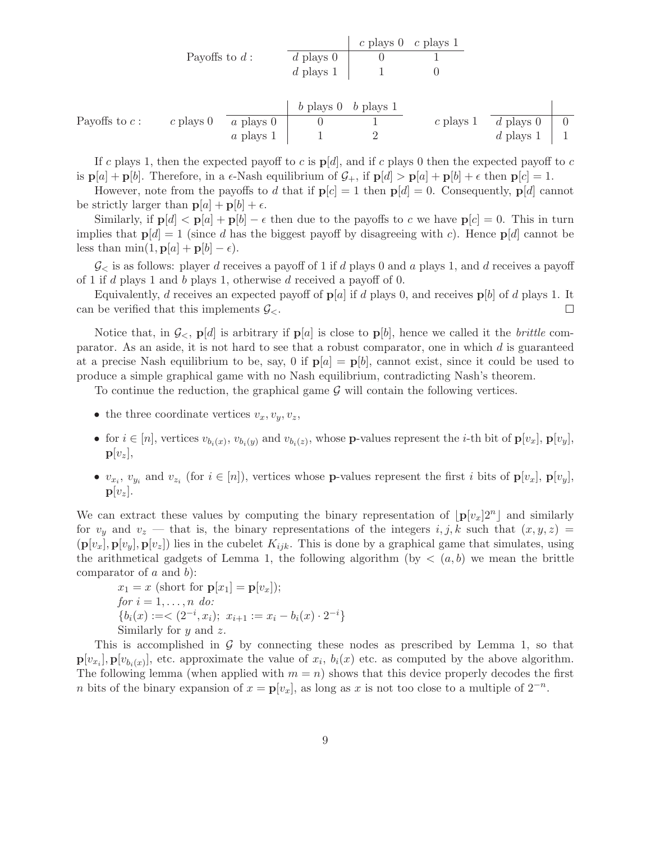| Payoffs to $d$ :     | $\frac{c \text{ plays } 0 \text{ } c \text{ plays } 1}{d \text{ plays } 1}$ | $c \text{ plays } 0 \text{ } 1$ |
|----------------------|-----------------------------------------------------------------------------|---------------------------------|
| $d \text{ plays } 1$ | $1$                                                                         | $0$                             |

|                  |             |                  | $\frac{1}{2}$ b plays 0 b plays 1 |             |                    |  |
|------------------|-------------|------------------|-----------------------------------|-------------|--------------------|--|
| Payoffs to $c$ : | c plays $0$ | <i>a</i> plays 0 |                                   | $c$ plays 1 | d plays $0 \mid 0$ |  |
|                  |             | $a$ plays 1      |                                   |             | d plays $1 \mid 1$ |  |

If c plays 1, then the expected payoff to c is  $p[d]$ , and if c plays 0 then the expected payoff to c is  $\mathbf{p}[a] + \mathbf{p}[b]$ . Therefore, in a  $\epsilon$ -Nash equilibrium of  $\mathcal{G}_+$ , if  $\mathbf{p}[d] > \mathbf{p}[a] + \mathbf{p}[b] + \epsilon$  then  $\mathbf{p}[c] = 1$ .

However, note from the payoffs to d that if  $p[c] = 1$  then  $p[d] = 0$ . Consequently,  $p[d]$  cannot be strictly larger than  $\mathbf{p}[a] + \mathbf{p}[b] + \epsilon$ .

Similarly, if  $p[d] < p[a] + p[b] - \epsilon$  then due to the payoffs to c we have  $p[c] = 0$ . This in turn implies that  $p[d] = 1$  (since d has the biggest payoff by disagreeing with c). Hence  $p[d]$  cannot be less than  $\min(1, \mathbf{p}[a] + \mathbf{p}[b] - \epsilon)$ .

 $\mathcal{G}_{\leq}$  is as follows: player d receives a payoff of 1 if d plays 0 and a plays 1, and d receives a payoff of 1 if d plays 1 and b plays 1, otherwise d received a payoff of 0.

Equivalently, d receives an expected payoff of  $p[a]$  if d plays 0, and receives  $p[b]$  of d plays 1. It can be verified that this implements  $\mathcal{G}_{\leq}$ .  $\Box$ 

Notice that, in  $\mathcal{G}_{\leq}$ ,  $p[d]$  is arbitrary if  $p[a]$  is close to  $p[b]$ , hence we called it the *brittle* comparator. As an aside, it is not hard to see that a robust comparator, one in which  $d$  is guaranteed at a precise Nash equilibrium to be, say, 0 if  $p[a] = p[b]$ , cannot exist, since it could be used to produce a simple graphical game with no Nash equilibrium, contradicting Nash's theorem.

To continue the reduction, the graphical game  $\mathcal G$  will contain the following vertices.

- the three coordinate vertices  $v_x, v_y, v_z$ ,
- for  $i \in [n]$ , vertices  $v_{b_i(x)}, v_{b_i(y)}$  and  $v_{b_i(z)}$ , whose **p**-values represent the *i*-th bit of  $\mathbf{p}[v_x]$ ,  $\mathbf{p}[v_y]$ ,  $\mathbf{p}[v_z],$
- $v_{x_i}$ ,  $v_{y_i}$  and  $v_{z_i}$  (for  $i \in [n]$ ), vertices whose **p**-values represent the first i bits of  $\mathbf{p}[v_x]$ ,  $\mathbf{p}[v_y]$ ,  $\mathbf{p}[v_z]$ .

We can extract these values by computing the binary representation of  $\lfloor \mathbf{p}[v_x] \rfloor^{2n}$  and similarly for  $v_y$  and  $v_z$  — that is, the binary representations of the integers  $i, j, k$  such that  $(x, y, z)$  =  $(\mathbf{p}[v_x], \mathbf{p}[v_y], \mathbf{p}[v_z])$  lies in the cubelet  $K_{ijk}$ . This is done by a graphical game that simulates, using the arithmetical gadgets of Lemma 1, the following algorithm (by  $\lt (a, b)$ ) we mean the brittle comparator of  $a$  and  $b$ ):

$$
x_1 = x \text{ (short for } \mathbf{p}[x_1] = \mathbf{p}[v_x];
$$
  
\n
$$
for \, i = 1, \ldots, n \, do:
$$
  
\n
$$
\{b_i(x) := \langle 2^{-i}, x_i \rangle; \ x_{i+1} := x_i - b_i(x) \cdot 2^{-i} \}
$$
  
\nSimilarly for  $y$  and  $z$ .

This is accomplished in  $G$  by connecting these nodes as prescribed by Lemma 1, so that  $\mathbf{p}[v_{x_i}], \mathbf{p}[v_{b_i(x)}],$  etc. approximate the value of  $x_i, b_i(x)$  etc. as computed by the above algorithm. The following lemma (when applied with  $m = n$ ) shows that this device properly decodes the first n bits of the binary expansion of  $x = \mathbf{p}[v_x]$ , as long as x is not too close to a multiple of  $2^{-n}$ .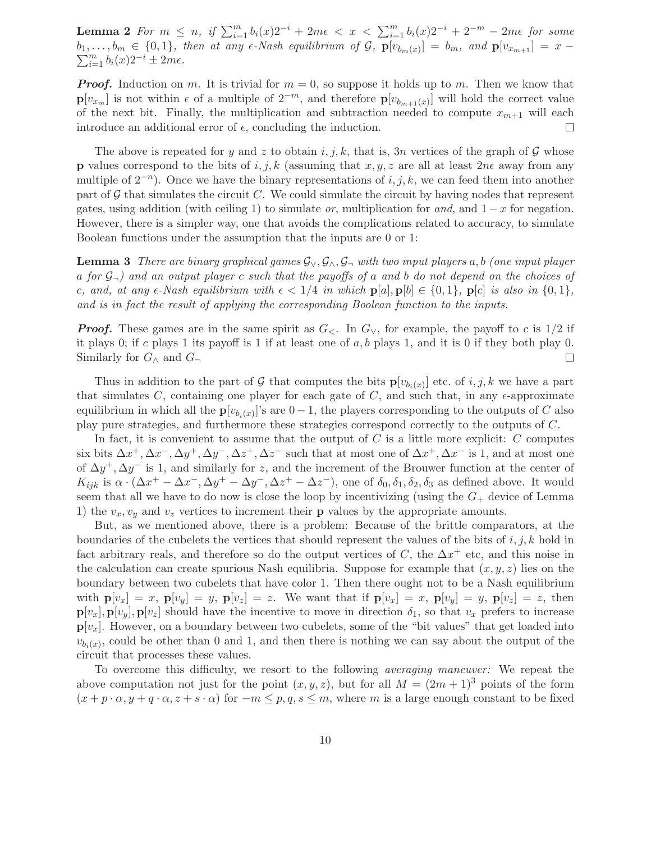**Lemma 2** *For*  $m \leq n$ , if  $\sum_{i=1}^{m} b_i(x)2^{-i} + 2m\epsilon < x < \sum_{i=1}^{m} b_i(x)2^{-i} + 2^{-m} - 2m\epsilon$  for some  $b_1, \ldots, b_m \in \{0, 1\}$ , then at any  $\epsilon$ -Nash equilibrium of  $\mathcal{G}$ ,  $\mathbf{p}[v_{b_m(x)}] = b_m$ , and  $\mathbf{p}[v_{x_{m+1}}] = x - \sum_{k=1}^m b_k(x)g^{-k} + 2m\epsilon$  $\sum_{i=1}^{m} b_i(x) 2^{-i} \pm 2m\epsilon.$ 

*Proof.* Induction on m. It is trivial for  $m = 0$ , so suppose it holds up to m. Then we know that **p**[ $v_{x_m}$ ] is not within  $\epsilon$  of a multiple of  $2^{-m}$ , and therefore **p**[ $v_{b_{m+1}(x)}$ ] will hold the correct value of the next bit. Finally, the multiplication and subtraction needed to compute  $x_{m+1}$  will each introduce an additional error of  $\epsilon$ , concluding the induction.  $\Box$ 

The above is repeated for y and z to obtain i, j, k, that is, 3n vertices of the graph of  $\mathcal G$  whose **p** values correspond to the bits of  $i, j, k$  (assuming that  $x, y, z$  are all at least  $2n\epsilon$  away from any multiple of  $2^{-n}$ ). Once we have the binary representations of i, j, k, we can feed them into another part of  $\mathcal G$  that simulates the circuit C. We could simulate the circuit by having nodes that represent gates, using addition (with ceiling 1) to simulate *or*, multiplication for *and*, and  $1 - x$  for negation. However, there is a simpler way, one that avoids the complications related to accuracy, to simulate Boolean functions under the assumption that the inputs are 0 or 1:

**Lemma 3** *There are binary graphical games* G∨, G∧, G<sup>¬</sup> *with two input players* a, b *(one input player* a *for* G¬*) and an output player* c *such that the payoffs of* a *and* b *do not depend on the choices of* c, and, at any  $\epsilon$ -Nash equilibrium with  $\epsilon < 1/4$  in which  $p[a], p[b] \in \{0, 1\}$ ,  $p[c]$  is also in  $\{0, 1\}$ , *and is in fact the result of applying the corresponding Boolean function to the inputs.*

*Proof.* These games are in the same spirit as  $G_{\leq}$ . In  $G_{\vee}$ , for example, the payoff to c is 1/2 if it plays 0; if c plays 1 its payoff is 1 if at least one of  $a, b$  plays 1, and it is 0 if they both play 0. Similarly for  $G_{\wedge}$  and  $G_{\neg}$  $\Box$ 

Thus in addition to the part of G that computes the bits  $\mathbf{p}[v_{b_i(x)}]$  etc. of i, j, k we have a part that simulates C, containing one player for each gate of C, and such that, in any  $\epsilon$ -approximate equilibrium in which all the  $\mathbf{p}[v_{b_i(x)}]$ 's are  $0-1$ , the players corresponding to the outputs of C also play pure strategies, and furthermore these strategies correspond correctly to the outputs of C.

In fact, it is convenient to assume that the output of  $C$  is a little more explicit:  $C$  computes six bits  $\Delta x^+$ ,  $\Delta x^-$ ,  $\Delta y^+$ ,  $\Delta y^-$ ,  $\Delta z^+$ ,  $\Delta z^-$  such that at most one of  $\Delta x^+$ ,  $\Delta x^-$  is 1, and at most one of  $\Delta y^+$ ,  $\Delta y^-$  is 1, and similarly for z, and the increment of the Brouwer function at the center of  $K_{ijk}$  is  $\alpha \cdot (\Delta x^+ - \Delta x^-$ ,  $\Delta y^+ - \Delta y^-$ ,  $\Delta z^+ - \Delta z^-$ ), one of  $\delta_0, \delta_1, \delta_2, \delta_3$  as defined above. It would seem that all we have to do now is close the loop by incentivizing (using the  $G_{+}$  device of Lemma 1) the  $v_x, v_y$  and  $v_z$  vertices to increment their **p** values by the appropriate amounts.

But, as we mentioned above, there is a problem: Because of the brittle comparators, at the boundaries of the cubelets the vertices that should represent the values of the bits of  $i, j, k$  hold in fact arbitrary reals, and therefore so do the output vertices of C, the  $\Delta x^+$  etc, and this noise in the calculation can create spurious Nash equilibria. Suppose for example that  $(x, y, z)$  lies on the boundary between two cubelets that have color 1. Then there ought not to be a Nash equilibrium with  $\mathbf{p}[v_x] = x$ ,  $\mathbf{p}[v_y] = y$ ,  $\mathbf{p}[v_z] = z$ . We want that if  $\mathbf{p}[v_x] = x$ ,  $\mathbf{p}[v_y] = y$ ,  $\mathbf{p}[v_z] = z$ , then  $\mathbf{p}[v_x], \mathbf{p}[v_y], \mathbf{p}[v_z]$  should have the incentive to move in direction  $\delta_1$ , so that  $v_x$  prefers to increase  $p[v_x]$ . However, on a boundary between two cubelets, some of the "bit values" that get loaded into  $v_{b_i(x)}$ , could be other than 0 and 1, and then there is nothing we can say about the output of the circuit that processes these values.

To overcome this difficulty, we resort to the following *averaging maneuver:* We repeat the above computation not just for the point  $(x, y, z)$ , but for all  $M = (2m + 1)^3$  points of the form  $(x + p \cdot \alpha, y + q \cdot \alpha, z + s \cdot \alpha)$  for  $-m \leq p, q, s \leq m$ , where m is a large enough constant to be fixed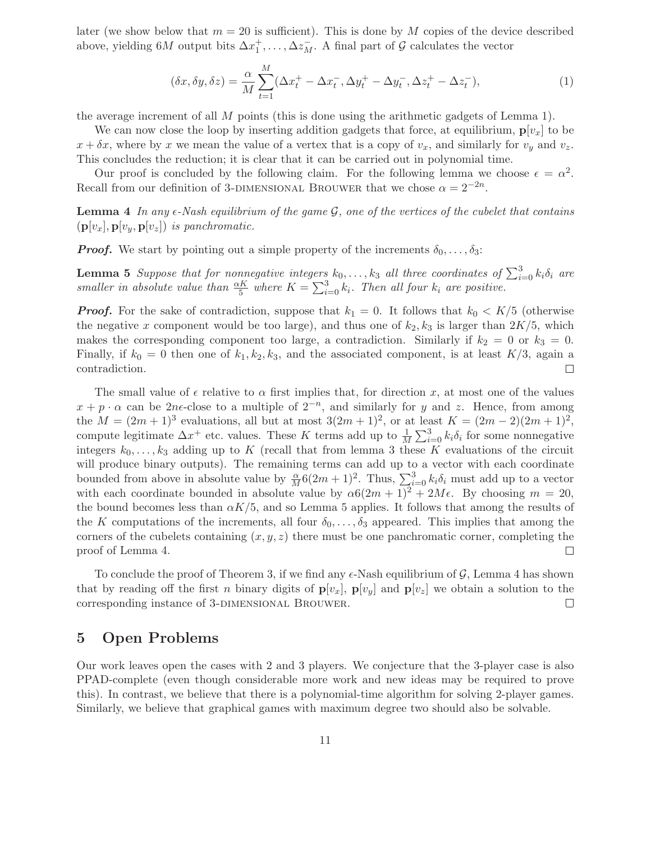later (we show below that  $m = 20$  is sufficient). This is done by M copies of the device described above, yielding  $6M$  output bits  $\Delta x_1^+, \ldots, \Delta z_M^-$ . A final part of  $\mathcal G$  calculates the vector

$$
(\delta x, \delta y, \delta z) = \frac{\alpha}{M} \sum_{t=1}^{M} (\Delta x_t^+ - \Delta x_t^-, \Delta y_t^+ - \Delta y_t^-, \Delta z_t^+ - \Delta z_t^-), \tag{1}
$$

the average increment of all M points (this is done using the arithmetic gadgets of Lemma 1).

We can now close the loop by inserting addition gadgets that force, at equilibrium,  $\mathbf{p}[v_x]$  to be  $x + \delta x$ , where by x we mean the value of a vertex that is a copy of  $v_x$ , and similarly for  $v_y$  and  $v_z$ . This concludes the reduction; it is clear that it can be carried out in polynomial time.

Our proof is concluded by the following claim. For the following lemma we choose  $\epsilon = \alpha^2$ . Recall from our definition of 3-DIMENSIONAL BROUWER that we chose  $\alpha = 2^{-2n}$ .

Lemma 4 In any  $\epsilon$ -Nash equilibrium of the game  $\mathcal{G}$ , one of the vertices of the cubelet that contains  $(\mathbf{p}[v_x], \mathbf{p}[v_y, \mathbf{p}[v_z])$  *is panchromatic.* 

*Proof.* We start by pointing out a simple property of the increments  $\delta_0, \ldots, \delta_3$ :

**Lemma 5** *Suppose that for nonnegative integers*  $k_0, \ldots, k_3$  *all three coordinates of*  $\sum_{i=0}^{3} k_i \delta_i$  *are smaller in absolute value than*  $\frac{\alpha K}{5}$  *where*  $K = \sum_{i=0}^{3} k_i$ *. Then all four*  $k_i$  *are positive.* 

*Proof.* For the sake of contradiction, suppose that  $k_1 = 0$ . It follows that  $k_0 \lt K/5$  (otherwise the negative x component would be too large), and thus one of  $k_2, k_3$  is larger than  $2K/5$ , which makes the corresponding component too large, a contradiction. Similarly if  $k_2 = 0$  or  $k_3 = 0$ . Finally, if  $k_0 = 0$  then one of  $k_1, k_2, k_3$ , and the associated component, is at least  $K/3$ , again a contradiction.  $\Box$ 

The small value of  $\epsilon$  relative to  $\alpha$  first implies that, for direction x, at most one of the values  $x + p \cdot \alpha$  can be 2ne-close to a multiple of  $2^{-n}$ , and similarly for y and z. Hence, from among the  $M = (2m + 1)^3$  evaluations, all but at most  $3(2m + 1)^2$ , or at least  $K = (2m - 2)(2m + 1)^2$ , compute legitimate  $\Delta x^+$  etc. values. These K terms add up to  $\frac{1}{M}\sum_{i=0}^{3} k_i \delta_i$  for some nonnegative integers  $k_0, \ldots, k_3$  adding up to K (recall that from lemma 3 these K evaluations of the circuit will produce binary outputs). The remaining terms can add up to a vector with each coordinate bounded from above in absolute value by  $\frac{\alpha}{M}6(2m+1)^2$ . Thus,  $\sum_{i=0}^{3} k_i\delta_i$  must add up to a vector with each coordinate bounded in absolute value by  $\alpha 6(2m+1)^2 + 2M\epsilon$ . By choosing  $m = 20$ , the bound becomes less than  $\alpha K/5$ , and so Lemma 5 applies. It follows that among the results of the K computations of the increments, all four  $\delta_0, \ldots, \delta_3$  appeared. This implies that among the corners of the cubelets containing  $(x, y, z)$  there must be one panchromatic corner, completing the proof of Lemma 4.  $\Box$ 

To conclude the proof of Theorem 3, if we find any  $\epsilon$ -Nash equilibrium of  $\mathcal{G}$ , Lemma 4 has shown that by reading off the first n binary digits of  $\mathbf{p}[v_x]$ ,  $\mathbf{p}[v_y]$  and  $\mathbf{p}[v_z]$  we obtain a solution to the corresponding instance of 3-DIMENSIONAL BROUWER.  $\Box$ 

## **5 Open Problems**

Our work leaves open the cases with 2 and 3 players. We conjecture that the 3-player case is also PPAD-complete (even though considerable more work and new ideas may be required to prove this). In contrast, we believe that there is a polynomial-time algorithm for solving 2-player games. Similarly, we believe that graphical games with maximum degree two should also be solvable.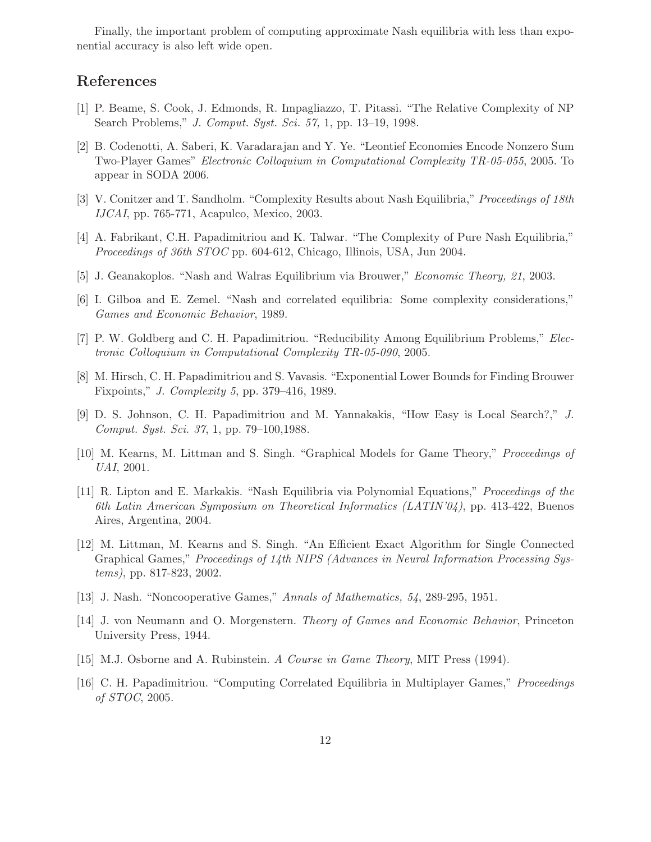Finally, the important problem of computing approximate Nash equilibria with less than exponential accuracy is also left wide open.

## **References**

- [1] P. Beame, S. Cook, J. Edmonds, R. Impagliazzo, T. Pitassi. "The Relative Complexity of NP Search Problems," *J. Comput. Syst. Sci. 57,* 1, pp. 13–19, 1998.
- [2] B. Codenotti, A. Saberi, K. Varadarajan and Y. Ye. "Leontief Economies Encode Nonzero Sum Two-Player Games" *Electronic Colloquium in Computational Complexity TR-05-055*, 2005. To appear in SODA 2006.
- [3] V. Conitzer and T. Sandholm. "Complexity Results about Nash Equilibria," *Proceedings of 18th IJCAI*, pp. 765-771, Acapulco, Mexico, 2003.
- [4] A. Fabrikant, C.H. Papadimitriou and K. Talwar. "The Complexity of Pure Nash Equilibria," *Proceedings of 36th STOC* pp. 604-612, Chicago, Illinois, USA, Jun 2004.
- [5] J. Geanakoplos. "Nash and Walras Equilibrium via Brouwer," *Economic Theory, 21*, 2003.
- [6] I. Gilboa and E. Zemel. "Nash and correlated equilibria: Some complexity considerations," *Games and Economic Behavior*, 1989.
- [7] P. W. Goldberg and C. H. Papadimitriou. "Reducibility Among Equilibrium Problems," *Electronic Colloquium in Computational Complexity TR-05-090*, 2005.
- [8] M. Hirsch, C. H. Papadimitriou and S. Vavasis. "Exponential Lower Bounds for Finding Brouwer Fixpoints," *J. Complexity 5*, pp. 379–416, 1989.
- [9] D. S. Johnson, C. H. Papadimitriou and M. Yannakakis, "How Easy is Local Search?," *J. Comput. Syst. Sci. 37*, 1, pp. 79–100,1988.
- [10] M. Kearns, M. Littman and S. Singh. "Graphical Models for Game Theory," *Proceedings of UAI*, 2001.
- [11] R. Lipton and E. Markakis. "Nash Equilibria via Polynomial Equations," *Proceedings of the 6th Latin American Symposium on Theoretical Informatics (LATIN'04)*, pp. 413-422, Buenos Aires, Argentina, 2004.
- [12] M. Littman, M. Kearns and S. Singh. "An Efficient Exact Algorithm for Single Connected Graphical Games," *Proceedings of 14th NIPS (Advances in Neural Information Processing Systems)*, pp. 817-823, 2002.
- [13] J. Nash. "Noncooperative Games," *Annals of Mathematics, 54*, 289-295, 1951.
- [14] J. von Neumann and O. Morgenstern. *Theory of Games and Economic Behavior*, Princeton University Press, 1944.
- [15] M.J. Osborne and A. Rubinstein. *A Course in Game Theory*, MIT Press (1994).
- [16] C. H. Papadimitriou. "Computing Correlated Equilibria in Multiplayer Games," *Proceedings of STOC*, 2005.